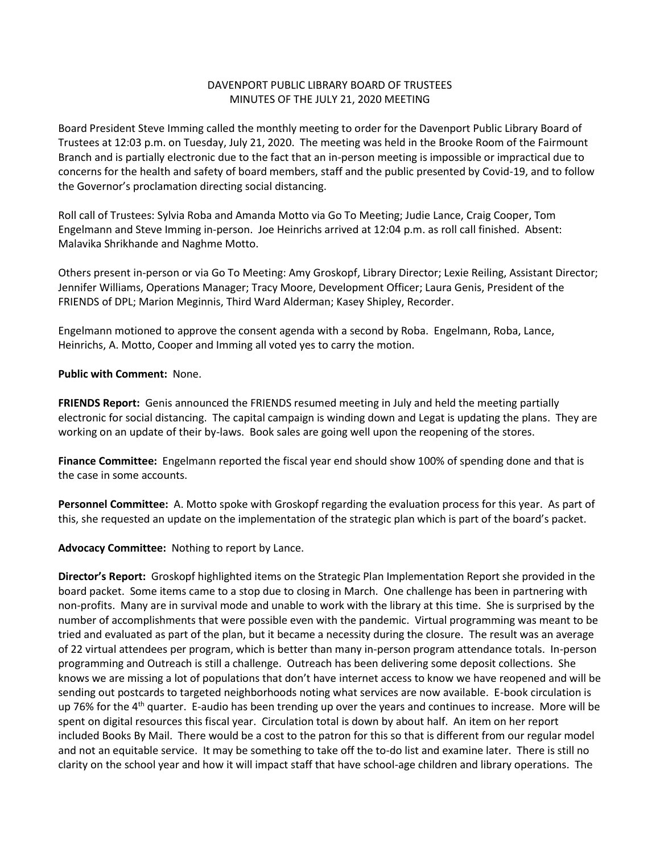## DAVENPORT PUBLIC LIBRARY BOARD OF TRUSTEES MINUTES OF THE JULY 21, 2020 MEETING

Board President Steve Imming called the monthly meeting to order for the Davenport Public Library Board of Trustees at 12:03 p.m. on Tuesday, July 21, 2020. The meeting was held in the Brooke Room of the Fairmount Branch and is partially electronic due to the fact that an in-person meeting is impossible or impractical due to concerns for the health and safety of board members, staff and the public presented by Covid-19, and to follow the Governor's proclamation directing social distancing.

Roll call of Trustees: Sylvia Roba and Amanda Motto via Go To Meeting; Judie Lance, Craig Cooper, Tom Engelmann and Steve Imming in-person. Joe Heinrichs arrived at 12:04 p.m. as roll call finished. Absent: Malavika Shrikhande and Naghme Motto.

Others present in-person or via Go To Meeting: Amy Groskopf, Library Director; Lexie Reiling, Assistant Director; Jennifer Williams, Operations Manager; Tracy Moore, Development Officer; Laura Genis, President of the FRIENDS of DPL; Marion Meginnis, Third Ward Alderman; Kasey Shipley, Recorder.

Engelmann motioned to approve the consent agenda with a second by Roba. Engelmann, Roba, Lance, Heinrichs, A. Motto, Cooper and Imming all voted yes to carry the motion.

## **Public with Comment:** None.

**FRIENDS Report:** Genis announced the FRIENDS resumed meeting in July and held the meeting partially electronic for social distancing. The capital campaign is winding down and Legat is updating the plans. They are working on an update of their by-laws. Book sales are going well upon the reopening of the stores.

**Finance Committee:** Engelmann reported the fiscal year end should show 100% of spending done and that is the case in some accounts.

**Personnel Committee:** A. Motto spoke with Groskopf regarding the evaluation process for this year. As part of this, she requested an update on the implementation of the strategic plan which is part of the board's packet.

**Advocacy Committee:** Nothing to report by Lance.

**Director's Report:** Groskopf highlighted items on the Strategic Plan Implementation Report she provided in the board packet. Some items came to a stop due to closing in March. One challenge has been in partnering with non-profits. Many are in survival mode and unable to work with the library at this time. She is surprised by the number of accomplishments that were possible even with the pandemic. Virtual programming was meant to be tried and evaluated as part of the plan, but it became a necessity during the closure. The result was an average of 22 virtual attendees per program, which is better than many in-person program attendance totals. In-person programming and Outreach is still a challenge. Outreach has been delivering some deposit collections. She knows we are missing a lot of populations that don't have internet access to know we have reopened and will be sending out postcards to targeted neighborhoods noting what services are now available. E-book circulation is up 76% for the 4<sup>th</sup> quarter. E-audio has been trending up over the years and continues to increase. More will be spent on digital resources this fiscal year. Circulation total is down by about half. An item on her report included Books By Mail. There would be a cost to the patron for this so that is different from our regular model and not an equitable service. It may be something to take off the to-do list and examine later. There is still no clarity on the school year and how it will impact staff that have school-age children and library operations. The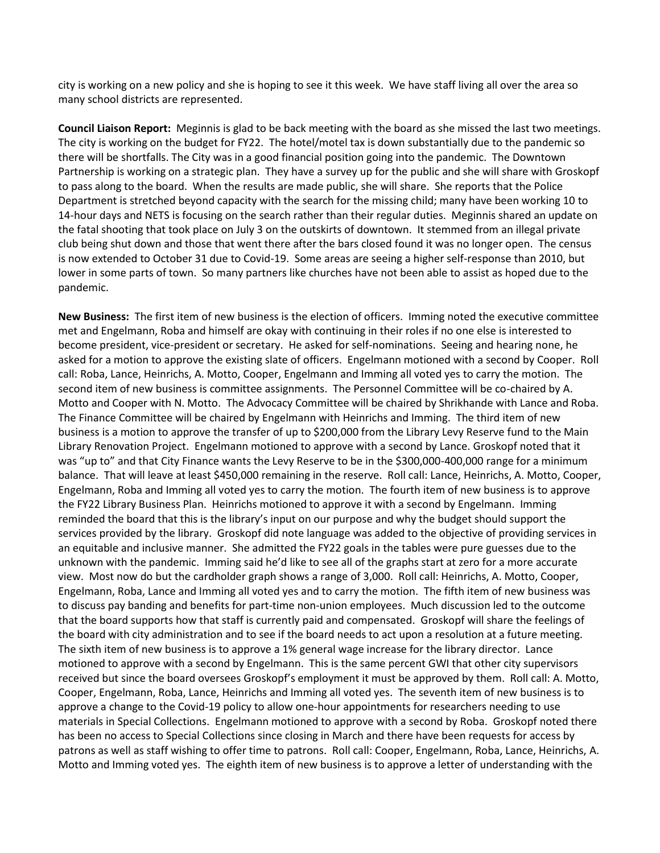city is working on a new policy and she is hoping to see it this week. We have staff living all over the area so many school districts are represented.

**Council Liaison Report:** Meginnis is glad to be back meeting with the board as she missed the last two meetings. The city is working on the budget for FY22. The hotel/motel tax is down substantially due to the pandemic so there will be shortfalls. The City was in a good financial position going into the pandemic. The Downtown Partnership is working on a strategic plan. They have a survey up for the public and she will share with Groskopf to pass along to the board. When the results are made public, she will share. She reports that the Police Department is stretched beyond capacity with the search for the missing child; many have been working 10 to 14-hour days and NETS is focusing on the search rather than their regular duties. Meginnis shared an update on the fatal shooting that took place on July 3 on the outskirts of downtown. It stemmed from an illegal private club being shut down and those that went there after the bars closed found it was no longer open. The census is now extended to October 31 due to Covid-19. Some areas are seeing a higher self-response than 2010, but lower in some parts of town. So many partners like churches have not been able to assist as hoped due to the pandemic.

**New Business:** The first item of new business is the election of officers. Imming noted the executive committee met and Engelmann, Roba and himself are okay with continuing in their roles if no one else is interested to become president, vice-president or secretary. He asked for self-nominations. Seeing and hearing none, he asked for a motion to approve the existing slate of officers. Engelmann motioned with a second by Cooper. Roll call: Roba, Lance, Heinrichs, A. Motto, Cooper, Engelmann and Imming all voted yes to carry the motion. The second item of new business is committee assignments. The Personnel Committee will be co-chaired by A. Motto and Cooper with N. Motto. The Advocacy Committee will be chaired by Shrikhande with Lance and Roba. The Finance Committee will be chaired by Engelmann with Heinrichs and Imming. The third item of new business is a motion to approve the transfer of up to \$200,000 from the Library Levy Reserve fund to the Main Library Renovation Project. Engelmann motioned to approve with a second by Lance. Groskopf noted that it was "up to" and that City Finance wants the Levy Reserve to be in the \$300,000-400,000 range for a minimum balance. That will leave at least \$450,000 remaining in the reserve. Roll call: Lance, Heinrichs, A. Motto, Cooper, Engelmann, Roba and Imming all voted yes to carry the motion. The fourth item of new business is to approve the FY22 Library Business Plan. Heinrichs motioned to approve it with a second by Engelmann. Imming reminded the board that this is the library's input on our purpose and why the budget should support the services provided by the library. Groskopf did note language was added to the objective of providing services in an equitable and inclusive manner. She admitted the FY22 goals in the tables were pure guesses due to the unknown with the pandemic. Imming said he'd like to see all of the graphs start at zero for a more accurate view. Most now do but the cardholder graph shows a range of 3,000. Roll call: Heinrichs, A. Motto, Cooper, Engelmann, Roba, Lance and Imming all voted yes and to carry the motion. The fifth item of new business was to discuss pay banding and benefits for part-time non-union employees. Much discussion led to the outcome that the board supports how that staff is currently paid and compensated. Groskopf will share the feelings of the board with city administration and to see if the board needs to act upon a resolution at a future meeting. The sixth item of new business is to approve a 1% general wage increase for the library director. Lance motioned to approve with a second by Engelmann. This is the same percent GWI that other city supervisors received but since the board oversees Groskopf's employment it must be approved by them. Roll call: A. Motto, Cooper, Engelmann, Roba, Lance, Heinrichs and Imming all voted yes. The seventh item of new business is to approve a change to the Covid-19 policy to allow one-hour appointments for researchers needing to use materials in Special Collections. Engelmann motioned to approve with a second by Roba. Groskopf noted there has been no access to Special Collections since closing in March and there have been requests for access by patrons as well as staff wishing to offer time to patrons. Roll call: Cooper, Engelmann, Roba, Lance, Heinrichs, A. Motto and Imming voted yes. The eighth item of new business is to approve a letter of understanding with the